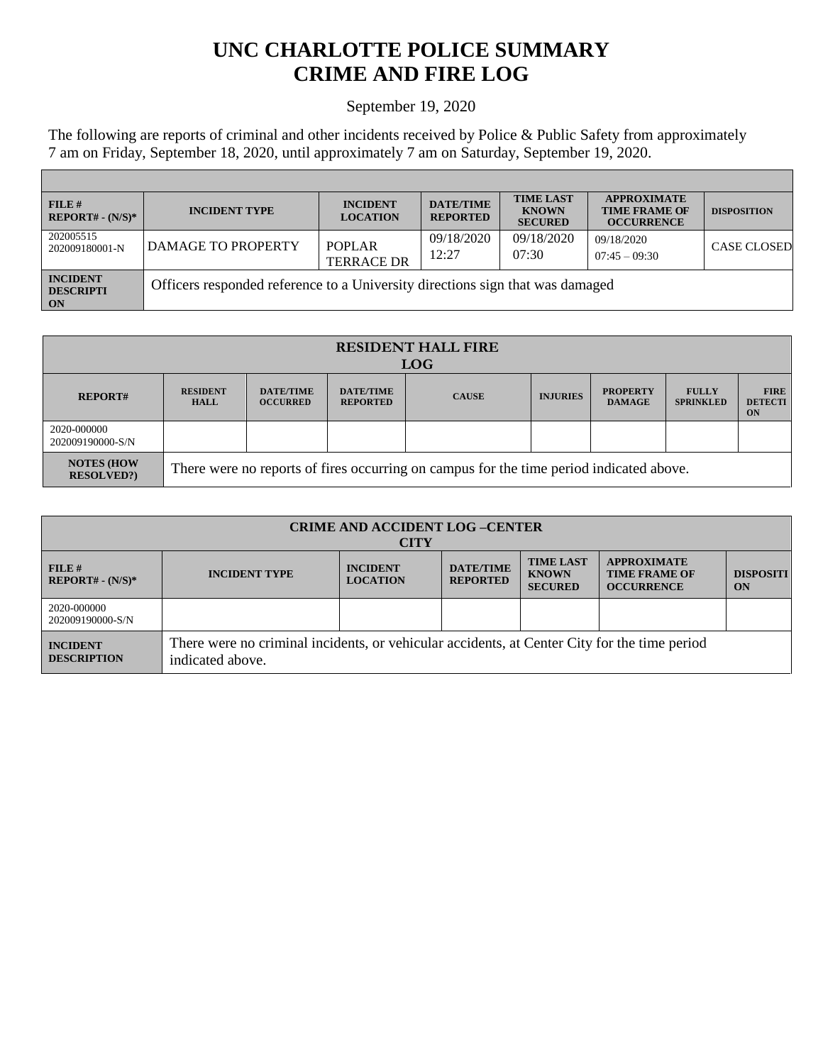## **UNC CHARLOTTE POLICE SUMMARY CRIME AND FIRE LOG**

## September 19, 2020

The following are reports of criminal and other incidents received by Police & Public Safety from approximately 7 am on Friday, September 18, 2020, until approximately 7 am on Saturday, September 19, 2020.

Г

| FILE H<br>$REPORT# - (N/S)*$                     | <b>INCIDENT TYPE</b>                                                          | <b>INCIDENT</b><br><b>LOCATION</b> | <b>DATE/TIME</b><br><b>REPORTED</b> | <b>TIME LAST</b><br><b>KNOWN</b><br><b>SECURED</b> | <b>APPROXIMATE</b><br><b>TIME FRAME OF</b><br><b>OCCURRENCE</b> | <b>DISPOSITION</b> |
|--------------------------------------------------|-------------------------------------------------------------------------------|------------------------------------|-------------------------------------|----------------------------------------------------|-----------------------------------------------------------------|--------------------|
| 202005515<br>202009180001-N                      | DAMAGE TO PROPERTY                                                            | <b>POPLAR</b><br><b>TERRACE DR</b> | 09/18/2020<br>12:27                 | 09/18/2020<br>07:30                                | 09/18/2020<br>$07:45 - 09:30$                                   | <b>CASE CLOSED</b> |
| <b>INCIDENT</b><br><b>DESCRIPTI</b><br><b>ON</b> | Officers responded reference to a University directions sign that was damaged |                                    |                                     |                                                    |                                                                 |                    |

| <b>RESIDENT HALL FIRE</b><br><b>LOG</b> |                                                                                         |                                     |                                     |              |                 |                                  |                                  |                                     |
|-----------------------------------------|-----------------------------------------------------------------------------------------|-------------------------------------|-------------------------------------|--------------|-----------------|----------------------------------|----------------------------------|-------------------------------------|
| <b>REPORT#</b>                          | <b>RESIDENT</b><br><b>HALL</b>                                                          | <b>DATE/TIME</b><br><b>OCCURRED</b> | <b>DATE/TIME</b><br><b>REPORTED</b> | <b>CAUSE</b> | <b>INJURIES</b> | <b>PROPERTY</b><br><b>DAMAGE</b> | <b>FULLY</b><br><b>SPRINKLED</b> | <b>FIRE</b><br><b>DETECTI</b><br>ON |
| 2020-000000<br>202009190000-S/N         |                                                                                         |                                     |                                     |              |                 |                                  |                                  |                                     |
| <b>NOTES (HOW)</b><br><b>RESOLVED?</b>  | There were no reports of fires occurring on campus for the time period indicated above. |                                     |                                     |              |                 |                                  |                                  |                                     |

| <b>CRIME AND ACCIDENT LOG-CENTER</b><br><b>CITY</b> |                                                                                                                  |                                    |                                     |                                                    |                                                                 |                        |  |
|-----------------------------------------------------|------------------------------------------------------------------------------------------------------------------|------------------------------------|-------------------------------------|----------------------------------------------------|-----------------------------------------------------------------|------------------------|--|
| FILE#<br>$REPORT# - (N/S)*$                         | <b>INCIDENT TYPE</b>                                                                                             | <b>INCIDENT</b><br><b>LOCATION</b> | <b>DATE/TIME</b><br><b>REPORTED</b> | <b>TIME LAST</b><br><b>KNOWN</b><br><b>SECURED</b> | <b>APPROXIMATE</b><br><b>TIME FRAME OF</b><br><b>OCCURRENCE</b> | <b>DISPOSITI</b><br>ON |  |
| 2020-000000<br>202009190000-S/N                     |                                                                                                                  |                                    |                                     |                                                    |                                                                 |                        |  |
| <b>INCIDENT</b><br><b>DESCRIPTION</b>               | There were no criminal incidents, or vehicular accidents, at Center City for the time period<br>indicated above. |                                    |                                     |                                                    |                                                                 |                        |  |